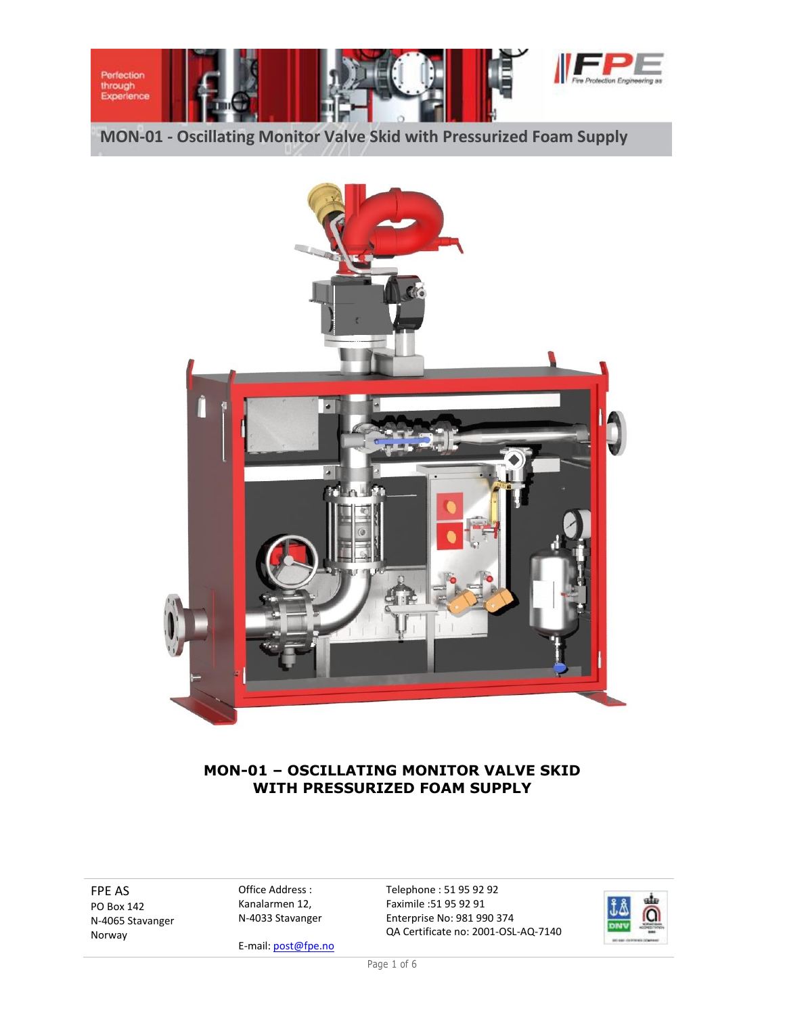



# **MON-01 – OSCILLATING MONITOR VALVE SKID WITH PRESSURIZED FOAM SUPPLY**

FPE AS PO Box 142 N-4065 Stavanger Norway

Office Address : Kanalarmen 12, N-4033 Stavanger

E-mail[: post@fpe.no](mailto:post@fpe.no)

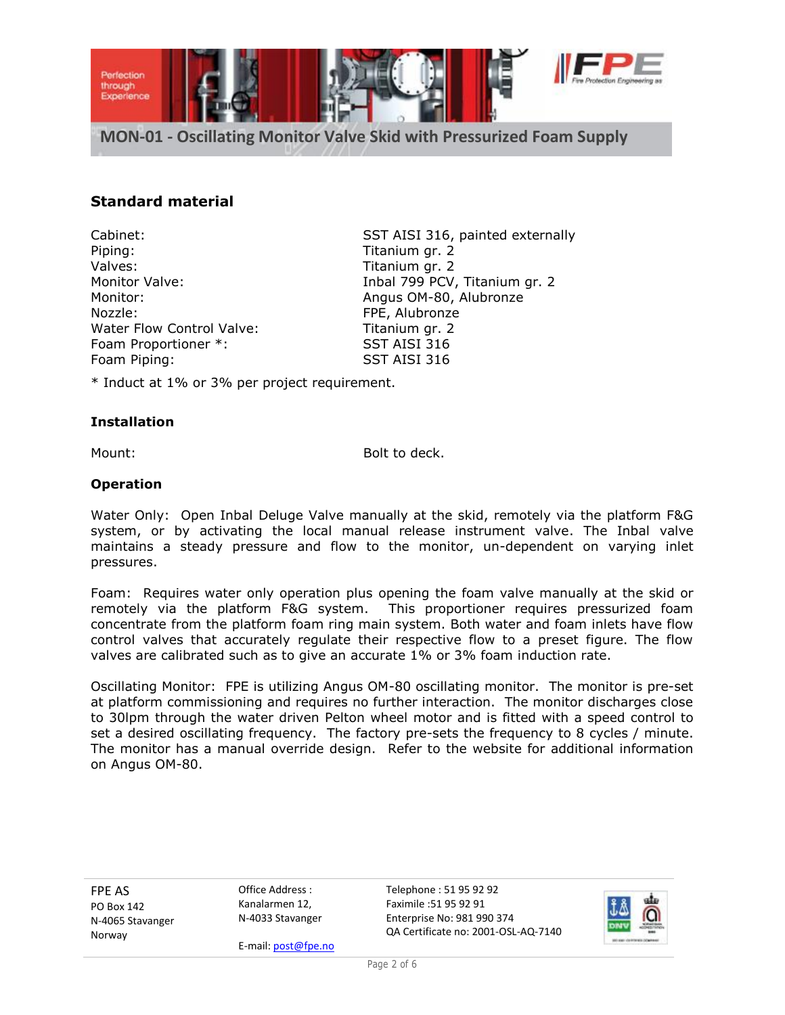

## **Standard material**

Piping: Titanium gr. 2 Valves: Valves: Titanium gr. 2 Monitor: Monitor: Angus OM-80, Alubronze Nozzle: FPE, Alubronze Water Flow Control Valve: Titanium gr. 2 Foam Proportioner \*: SST AISI 316<br>Foam Piping: SST AISI 316 Foam Piping:

Cabinet: SST AISI 316, painted externally Monitor Valve: **Inbal 799 PCV, Titanium gr. 2** 

\* Induct at 1% or 3% per project requirement.

### **Installation**

Mount: Bolt to deck.

#### **Operation**

Water Only: Open Inbal Deluge Valve manually at the skid, remotely via the platform F&G system, or by activating the local manual release instrument valve. The Inbal valve maintains a steady pressure and flow to the monitor, un-dependent on varying inlet pressures.

Foam: Requires water only operation plus opening the foam valve manually at the skid or remotely via the platform F&G system. This proportioner requires pressurized foam concentrate from the platform foam ring main system. Both water and foam inlets have flow control valves that accurately regulate their respective flow to a preset figure. The flow valves are calibrated such as to give an accurate 1% or 3% foam induction rate.

Oscillating Monitor: FPE is utilizing Angus OM-80 oscillating monitor. The monitor is pre-set at platform commissioning and requires no further interaction. The monitor discharges close to 30lpm through the water driven Pelton wheel motor and is fitted with a speed control to set a desired oscillating frequency. The factory pre-sets the frequency to 8 cycles / minute. The monitor has a manual override design. Refer to the website for additional information on Angus OM-80.

FPE AS PO Box 142 N-4065 Stavanger Norway

Office Address : Kanalarmen 12, N-4033 Stavanger

E-mail[: post@fpe.no](mailto:post@fpe.no)

Telephone : 51 95 92 92 Faximile :51 95 92 91 Enterprise No: 981 990 374 QA Certificate no: 2001-OSL-AQ-7140



Page 2 of 6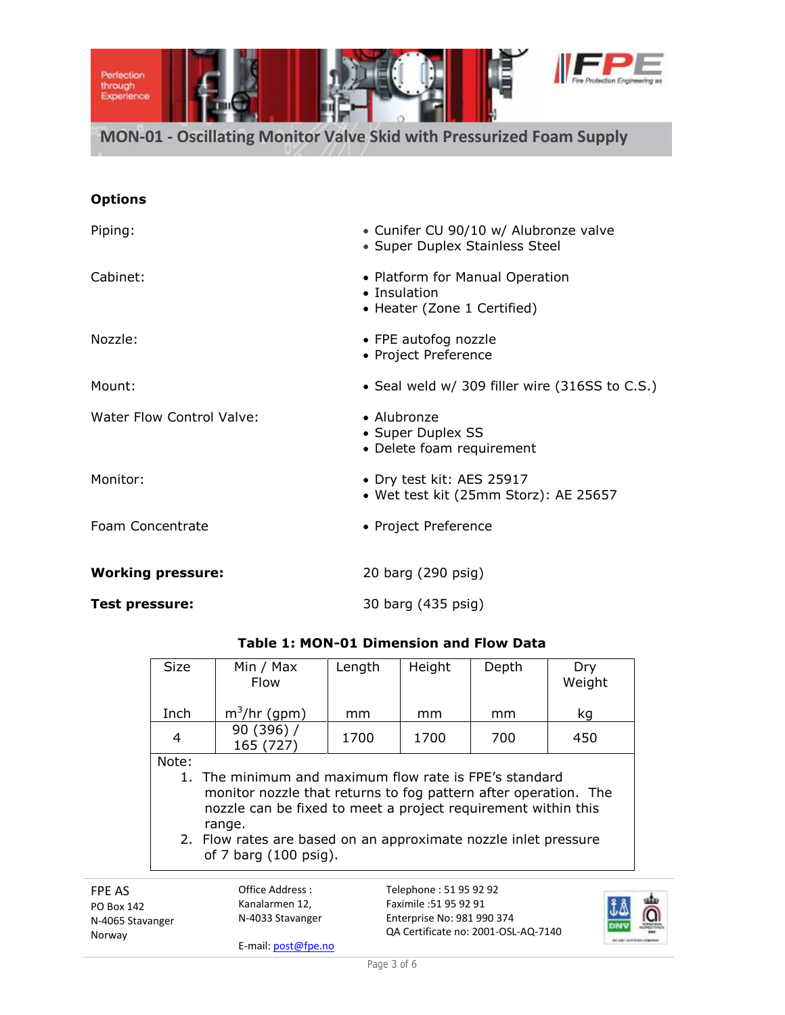

| Piping:                          | • Cunifer CU 90/10 w/ Alubronze valve<br>• Super Duplex Stainless Steel        |
|----------------------------------|--------------------------------------------------------------------------------|
| Cabinet:                         | • Platform for Manual Operation<br>• Insulation<br>• Heater (Zone 1 Certified) |
| Nozzle:                          | • FPE autofog nozzle<br>• Project Preference                                   |
| Mount:                           | • Seal weld w/ 309 filler wire (316SS to C.S.)                                 |
| <b>Water Flow Control Valve:</b> | • Alubronze<br>• Super Duplex SS<br>• Delete foam requirement                  |
| Monitor:                         | • Dry test kit: AES 25917<br>• Wet test kit (25mm Storz): AE 25657             |
| Foam Concentrate                 | • Project Preference                                                           |
| <b>Working pressure:</b>         | 20 barg (290 psig)                                                             |
| Test pressure:                   | 30 barg (435 psig)                                                             |

| <b>Size</b>                                                                                                                                                                                                                                                                                               | Min / Max<br><b>Flow</b> | Length | Height                           | Depth | Dry<br>Weight |  |  |
|-----------------------------------------------------------------------------------------------------------------------------------------------------------------------------------------------------------------------------------------------------------------------------------------------------------|--------------------------|--------|----------------------------------|-------|---------------|--|--|
| Inch                                                                                                                                                                                                                                                                                                      | $m^3$ /hr (gpm)          | mm     | mm                               | mm    | kg            |  |  |
| 4                                                                                                                                                                                                                                                                                                         | 90 (396) /<br>165 (727)  | 1700   | 1700                             | 700   | 450           |  |  |
| Note:<br>1. The minimum and maximum flow rate is FPE's standard<br>monitor nozzle that returns to fog pattern after operation. The<br>nozzle can be fixed to meet a project requirement within this<br>range.<br>2. Flow rates are based on an approximate nozzle inlet pressure<br>of 7 barg (100 psig). |                          |        |                                  |       |               |  |  |
|                                                                                                                                                                                                                                                                                                           | Office Address:          |        | Telephone: 51 95 92 92<br>-. - - |       |               |  |  |

## **Table 1: MON-01 Dimension and Flow Data**

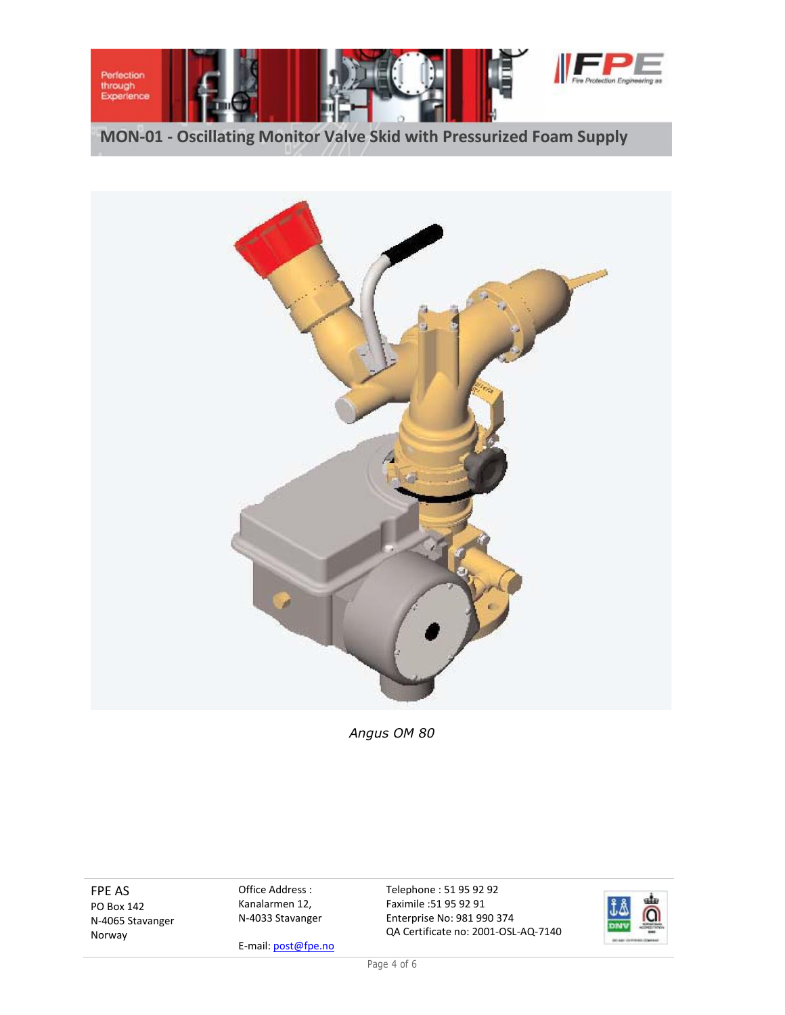



*Angus OM 80*

FPE AS PO Box 142 N-4065 Stavanger Norway

Office Address : Kanalarmen 12, N-4033 Stavanger

E-mail[: post@fpe.no](mailto:post@fpe.no)

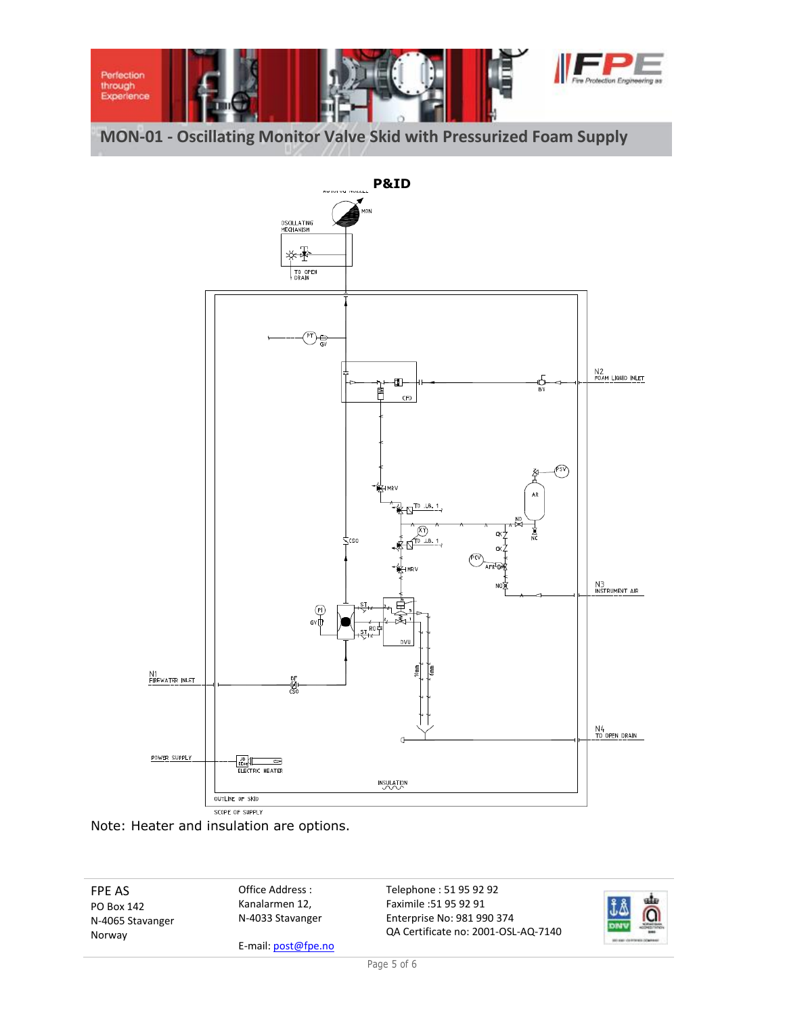





FPE AS PO Box 142 N-4065 Stavanger Norway

Office Address : Kanalarmen 12, N-4033 Stavanger

E-mail[: post@fpe.no](mailto:post@fpe.no)